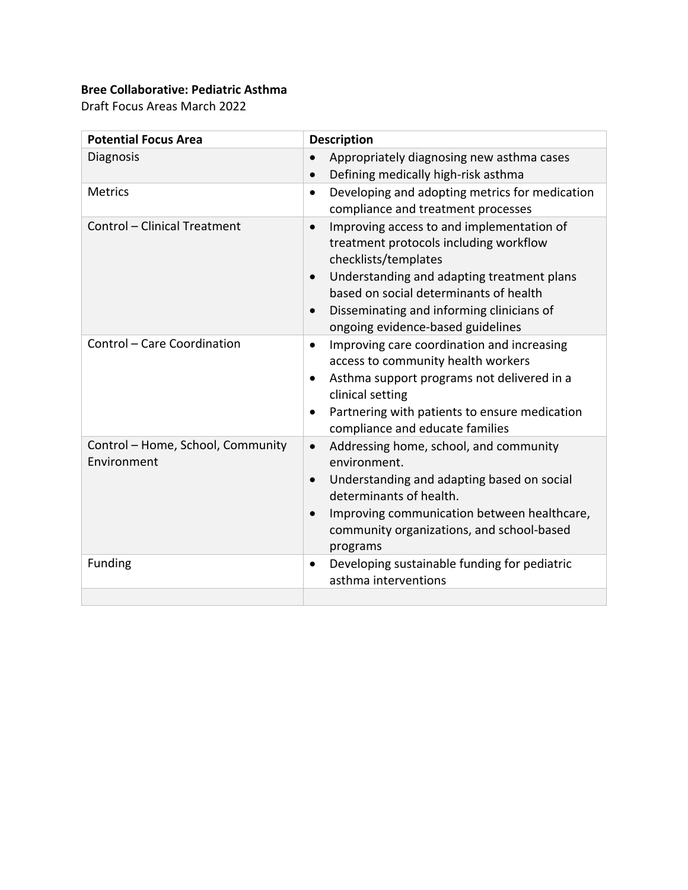## **Bree Collaborative: Pediatric Asthma**

Draft Focus Areas March 2022

| <b>Potential Focus Area</b>                      | <b>Description</b>                                                                                                                                                                                                                                                                                                           |
|--------------------------------------------------|------------------------------------------------------------------------------------------------------------------------------------------------------------------------------------------------------------------------------------------------------------------------------------------------------------------------------|
| Diagnosis                                        | Appropriately diagnosing new asthma cases<br>Defining medically high-risk asthma<br>$\bullet$                                                                                                                                                                                                                                |
| <b>Metrics</b>                                   | Developing and adopting metrics for medication<br>$\bullet$<br>compliance and treatment processes                                                                                                                                                                                                                            |
| Control - Clinical Treatment                     | Improving access to and implementation of<br>$\bullet$<br>treatment protocols including workflow<br>checklists/templates<br>Understanding and adapting treatment plans<br>$\bullet$<br>based on social determinants of health<br>Disseminating and informing clinicians of<br>$\bullet$<br>ongoing evidence-based guidelines |
| Control - Care Coordination                      | Improving care coordination and increasing<br>$\bullet$<br>access to community health workers<br>Asthma support programs not delivered in a<br>$\bullet$<br>clinical setting<br>Partnering with patients to ensure medication<br>compliance and educate families                                                             |
| Control - Home, School, Community<br>Environment | Addressing home, school, and community<br>$\bullet$<br>environment.<br>Understanding and adapting based on social<br>$\bullet$<br>determinants of health.<br>Improving communication between healthcare,<br>community organizations, and school-based<br>programs                                                            |
| <b>Funding</b>                                   | Developing sustainable funding for pediatric<br>$\bullet$<br>asthma interventions                                                                                                                                                                                                                                            |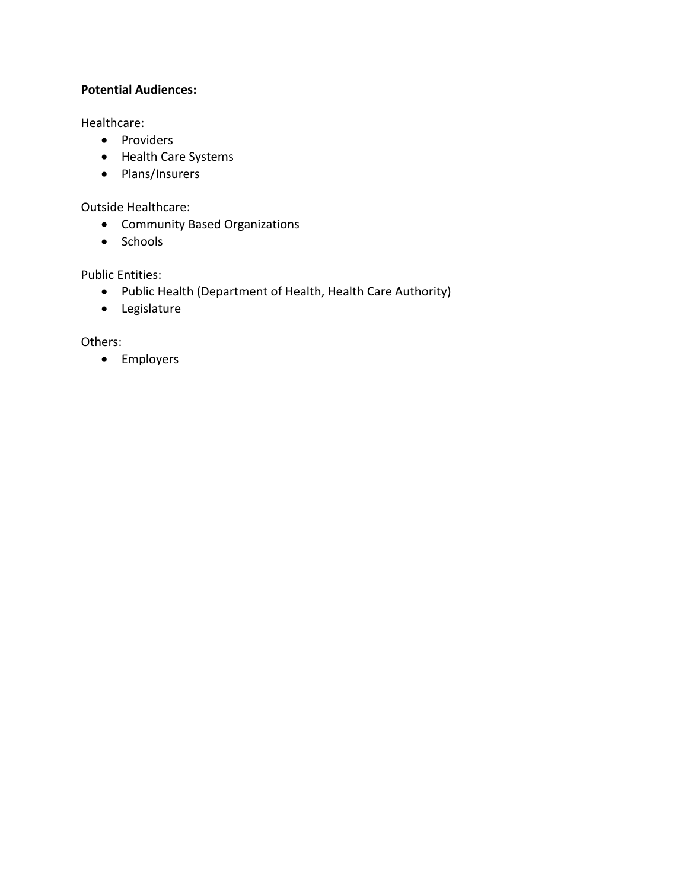## **Potential Audiences:**

Healthcare:

- Providers
- Health Care Systems
- Plans/Insurers

Outside Healthcare:

- Community Based Organizations
- Schools

Public Entities:

- Public Health (Department of Health, Health Care Authority)
- Legislature

Others:

• Employers